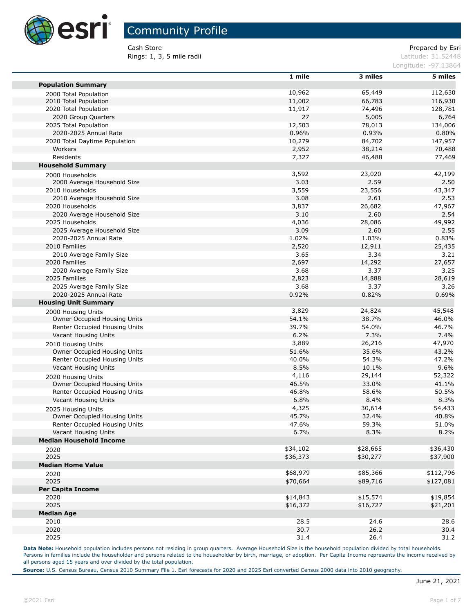

Cash Store **Prepared by Esri** Prepared by Esri **Rings: 1, 3, 5 mile radii** Latitude: 31.52448

| Longitude: -97.13864 |  |
|----------------------|--|
|                      |  |

|                                | 1 mile   | 3 miles  | 5 miles   |
|--------------------------------|----------|----------|-----------|
| <b>Population Summary</b>      |          |          |           |
| 2000 Total Population          | 10,962   | 65,449   | 112,630   |
| 2010 Total Population          | 11,002   | 66,783   | 116,930   |
| 2020 Total Population          | 11,917   | 74,496   | 128,781   |
| 2020 Group Quarters            | 27       | 5,005    | 6,764     |
| 2025 Total Population          | 12,503   | 78,013   | 134,006   |
| 2020-2025 Annual Rate          | 0.96%    | 0.93%    | 0.80%     |
| 2020 Total Daytime Population  | 10,279   | 84,702   | 147,957   |
| Workers                        | 2,952    | 38,214   | 70,488    |
| Residents                      | 7,327    | 46,488   | 77,469    |
| <b>Household Summary</b>       |          |          |           |
| 2000 Households                | 3,592    | 23,020   | 42,199    |
| 2000 Average Household Size    | 3.03     | 2.59     | 2.50      |
| 2010 Households                | 3,559    | 23,556   | 43,347    |
| 2010 Average Household Size    | 3.08     | 2.61     | 2.53      |
| 2020 Households                | 3,837    | 26,682   | 47,967    |
| 2020 Average Household Size    | 3.10     | 2.60     | 2.54      |
| 2025 Households                | 4,036    | 28,086   | 49,992    |
| 2025 Average Household Size    | 3.09     | 2.60     | 2.55      |
| 2020-2025 Annual Rate          | 1.02%    | 1.03%    | 0.83%     |
| 2010 Families                  | 2,520    | 12,911   | 25,435    |
| 2010 Average Family Size       | 3.65     | 3.34     | 3.21      |
| 2020 Families                  | 2,697    | 14,292   | 27,657    |
| 2020 Average Family Size       | 3.68     | 3.37     | 3.25      |
| 2025 Families                  | 2,823    | 14,888   | 28,619    |
| 2025 Average Family Size       | 3.68     | 3.37     | 3.26      |
| 2020-2025 Annual Rate          | 0.92%    | 0.82%    | 0.69%     |
| <b>Housing Unit Summary</b>    |          |          |           |
| 2000 Housing Units             | 3,829    | 24,824   | 45,548    |
| Owner Occupied Housing Units   | 54.1%    | 38.7%    | 46.0%     |
| Renter Occupied Housing Units  | 39.7%    | 54.0%    | 46.7%     |
| Vacant Housing Units           | 6.2%     | 7.3%     | 7.4%      |
| 2010 Housing Units             | 3,889    | 26,216   | 47,970    |
| Owner Occupied Housing Units   | 51.6%    | 35.6%    | 43.2%     |
| Renter Occupied Housing Units  | 40.0%    | 54.3%    | 47.2%     |
| Vacant Housing Units           | 8.5%     | 10.1%    | 9.6%      |
| 2020 Housing Units             | 4,116    | 29,144   | 52,322    |
| Owner Occupied Housing Units   | 46.5%    | 33.0%    | 41.1%     |
| Renter Occupied Housing Units  | 46.8%    | 58.6%    | 50.5%     |
| Vacant Housing Units           | 6.8%     | 8.4%     | 8.3%      |
| 2025 Housing Units             | 4,325    | 30,614   | 54,433    |
| Owner Occupied Housing Units   | 45.7%    | 32.4%    | 40.8%     |
| Renter Occupied Housing Units  | 47.6%    | 59.3%    | 51.0%     |
| Vacant Housing Units           | 6.7%     | 8.3%     | 8.2%      |
| <b>Median Household Income</b> |          |          |           |
| 2020                           | \$34,102 | \$28,665 | \$36,430  |
| 2025                           | \$36,373 | \$30,277 | \$37,900  |
| <b>Median Home Value</b>       |          |          |           |
| 2020                           | \$68,979 | \$85,366 | \$112,796 |
| 2025                           | \$70,664 | \$89,716 | \$127,081 |
| <b>Per Capita Income</b>       |          |          |           |
| 2020                           | \$14,843 | \$15,574 | \$19,854  |
| 2025                           | \$16,372 | \$16,727 | \$21,201  |
| <b>Median Age</b>              |          |          |           |
| 2010                           | 28.5     | 24.6     | 28.6      |
| 2020                           | 30.7     | 26.2     | 30.4      |
| 2025                           | 31.4     | 26.4     | 31.2      |

Data Note: Household population includes persons not residing in group quarters. Average Household Size is the household population divided by total households. Persons in families include the householder and persons related to the householder by birth, marriage, or adoption. Per Capita Income represents the income received by all persons aged 15 years and over divided by the total population.

**Source:** U.S. Census Bureau, Census 2010 Summary File 1. Esri forecasts for 2020 and 2025 Esri converted Census 2000 data into 2010 geography.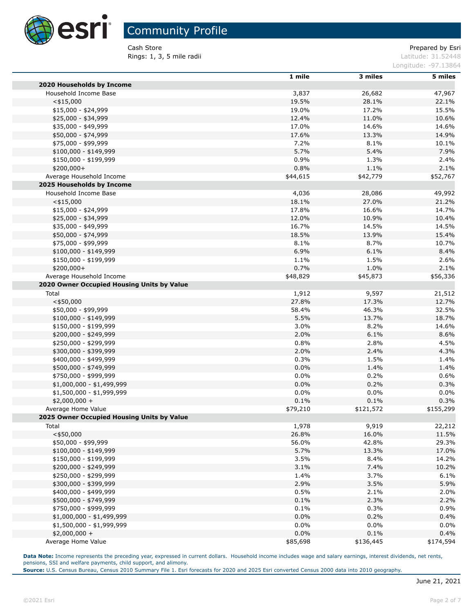

Cash Store **Prepared by Esri** Prepared by Esri **Rings: 1, 3, 5 mile radii** Latitude: 31.52448

Longitude: -97.13864

|                                            | 1 mile   | 3 miles   | 5 miles   |
|--------------------------------------------|----------|-----------|-----------|
| 2020 Households by Income                  |          |           |           |
| Household Income Base                      | 3,837    | 26,682    | 47,967    |
| $<$ \$15,000                               | 19.5%    | 28.1%     | 22.1%     |
| \$15,000 - \$24,999                        | 19.0%    | 17.2%     | 15.5%     |
| \$25,000 - \$34,999                        | 12.4%    | 11.0%     | 10.6%     |
| \$35,000 - \$49,999                        | 17.0%    | 14.6%     | 14.6%     |
| \$50,000 - \$74,999                        | 17.6%    | 13.3%     | 14.9%     |
| \$75,000 - \$99,999                        | 7.2%     | 8.1%      | 10.1%     |
| $$100,000 - $149,999$                      | 5.7%     | 5.4%      | 7.9%      |
| \$150,000 - \$199,999                      | 0.9%     | 1.3%      | 2.4%      |
| \$200,000+                                 | 0.8%     | 1.1%      | 2.1%      |
| Average Household Income                   | \$44,615 | \$42,779  | \$52,767  |
| 2025 Households by Income                  |          |           |           |
| Household Income Base                      | 4,036    | 28,086    | 49,992    |
| $<$ \$15,000                               | 18.1%    | 27.0%     | 21.2%     |
| $$15,000 - $24,999$                        | 17.8%    | 16.6%     | 14.7%     |
| \$25,000 - \$34,999                        | 12.0%    | 10.9%     | 10.4%     |
| \$35,000 - \$49,999                        | 16.7%    | 14.5%     | 14.5%     |
| \$50,000 - \$74,999                        | 18.5%    | 13.9%     | 15.4%     |
| \$75,000 - \$99,999                        | 8.1%     | 8.7%      | 10.7%     |
| $$100,000 - $149,999$                      | 6.9%     | 6.1%      | 8.4%      |
| \$150,000 - \$199,999                      | 1.1%     | 1.5%      | 2.6%      |
| \$200,000+                                 | 0.7%     | 1.0%      | 2.1%      |
| Average Household Income                   | \$48,829 | \$45,873  | \$56,336  |
| 2020 Owner Occupied Housing Units by Value |          |           |           |
| Total                                      | 1,912    | 9,597     | 21,512    |
| $<$ \$50,000                               | 27.8%    | 17.3%     | 12.7%     |
| \$50,000 - \$99,999                        | 58.4%    | 46.3%     | 32.5%     |
| $$100,000 - $149,999$                      | 5.5%     | 13.7%     | 18.7%     |
| \$150,000 - \$199,999                      | 3.0%     | 8.2%      | 14.6%     |
| \$200,000 - \$249,999                      | 2.0%     | 6.1%      | 8.6%      |
| \$250,000 - \$299,999                      | 0.8%     | 2.8%      | 4.5%      |
| \$300,000 - \$399,999                      | 2.0%     | 2.4%      | 4.3%      |
| \$400,000 - \$499,999                      | 0.3%     | 1.5%      | 1.4%      |
| \$500,000 - \$749,999                      | 0.0%     | 1.4%      | 1.4%      |
| \$750,000 - \$999,999                      | 0.0%     | 0.2%      | 0.6%      |
| \$1,000,000 - \$1,499,999                  | 0.0%     | 0.2%      | 0.3%      |
| \$1,500,000 - \$1,999,999                  | 0.0%     | 0.0%      | 0.0%      |
| $$2,000,000 +$                             | 0.1%     | 0.1%      | 0.3%      |
| Average Home Value                         | \$79,210 | \$121,572 | \$155,299 |
| 2025 Owner Occupied Housing Units by Value |          |           |           |
| Total                                      | 1,978    | 9,919     | 22,212    |
| $<$ \$50,000                               | 26.8%    | 16.0%     | 11.5%     |
| \$50,000 - \$99,999                        | 56.0%    | 42.8%     | 29.3%     |
| $$100,000 - $149,999$                      | 5.7%     | 13.3%     | 17.0%     |
| \$150,000 - \$199,999                      | 3.5%     | 8.4%      | 14.2%     |
| \$200,000 - \$249,999                      | 3.1%     | 7.4%      | 10.2%     |
| \$250,000 - \$299,999                      | 1.4%     | 3.7%      | 6.1%      |
| \$300,000 - \$399,999                      | 2.9%     | 3.5%      | 5.9%      |
| \$400,000 - \$499,999                      | 0.5%     | 2.1%      | 2.0%      |
| \$500,000 - \$749,999                      | 0.1%     | 2.3%      | 2.2%      |
| \$750,000 - \$999,999                      | 0.1%     | 0.3%      | 0.9%      |
| \$1,000,000 - \$1,499,999                  | $0.0\%$  | 0.2%      | 0.4%      |
| $$1,500,000 - $1,999,999$                  | $0.0\%$  | $0.0\%$   | 0.0%      |
| $$2,000,000 +$                             | 0.0%     | 0.1%      | 0.4%      |
| Average Home Value                         | \$85,698 | \$136,445 | \$174,594 |

**Data Note:** Income represents the preceding year, expressed in current dollars. Household income includes wage and salary earnings, interest dividends, net rents, pensions, SSI and welfare payments, child support, and alimony.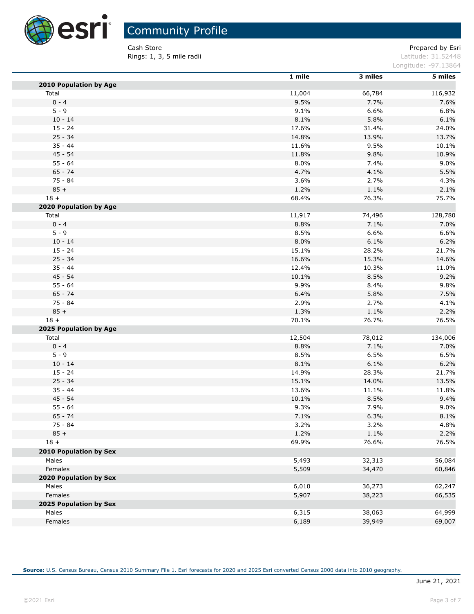

Cash Store **Prepared by Esri** Prepared by Esri **Rings: 1, 3, 5 mile radii Contract Contract Contract Contract Contract Contract Contract Contract Contract Contract Contract Contract Contract Contract Contract Contract Contract Contract Contract Contract Contract Cont** 

Longitude: -97.13864

|                               | 1 mile | 3 miles | 5 miles |
|-------------------------------|--------|---------|---------|
| <b>2010 Population by Age</b> |        |         |         |
| Total                         | 11,004 | 66,784  | 116,932 |
| $0 - 4$                       | 9.5%   | 7.7%    | 7.6%    |
| $5 - 9$                       | 9.1%   | 6.6%    | 6.8%    |
| $10 - 14$                     | 8.1%   | 5.8%    | 6.1%    |
| $15 - 24$                     | 17.6%  | 31.4%   | 24.0%   |
| $25 - 34$                     | 14.8%  | 13.9%   | 13.7%   |
| $35 - 44$                     | 11.6%  | 9.5%    | 10.1%   |
| $45 - 54$                     | 11.8%  | 9.8%    | 10.9%   |
| $55 - 64$                     | 8.0%   | 7.4%    | 9.0%    |
| $65 - 74$                     | 4.7%   | 4.1%    | 5.5%    |
| 75 - 84                       | 3.6%   | 2.7%    | 4.3%    |
| $85 +$                        | 1.2%   | 1.1%    | 2.1%    |
| $18 +$                        | 68.4%  | 76.3%   | 75.7%   |
| 2020 Population by Age        |        |         |         |
| Total                         | 11,917 | 74,496  | 128,780 |
| $0 - 4$                       | 8.8%   | 7.1%    | 7.0%    |
| $5 - 9$                       | 8.5%   | 6.6%    | 6.6%    |
| $10 - 14$                     | 8.0%   | 6.1%    | 6.2%    |
| $15 - 24$                     | 15.1%  | 28.2%   | 21.7%   |
| $25 - 34$                     | 16.6%  | 15.3%   | 14.6%   |
| $35 - 44$                     | 12.4%  | 10.3%   | 11.0%   |
| $45 - 54$                     | 10.1%  | 8.5%    | 9.2%    |
| $55 - 64$                     | 9.9%   | 8.4%    | 9.8%    |
| $65 - 74$                     | 6.4%   | 5.8%    | 7.5%    |
| $75 - 84$                     | 2.9%   | 2.7%    | 4.1%    |
| $85 +$                        | 1.3%   | 1.1%    | 2.2%    |
| $18 +$                        | 70.1%  | 76.7%   | 76.5%   |
| 2025 Population by Age        |        |         |         |
| Total                         | 12,504 | 78,012  | 134,006 |
| $0 - 4$                       | 8.8%   | 7.1%    | 7.0%    |
| $5 - 9$                       | 8.5%   | 6.5%    | 6.5%    |
| $10 - 14$                     | 8.1%   | 6.1%    | 6.2%    |
| $15 - 24$                     | 14.9%  | 28.3%   | 21.7%   |
| $25 - 34$                     | 15.1%  | 14.0%   | 13.5%   |
| $35 - 44$                     | 13.6%  | 11.1%   | 11.8%   |
| $45 - 54$                     | 10.1%  | 8.5%    | 9.4%    |
| $55 - 64$                     | 9.3%   | 7.9%    | 9.0%    |
| $65 - 74$                     | 7.1%   | 6.3%    | 8.1%    |
| 75 - 84                       | 3.2%   | 3.2%    | 4.8%    |
| $85 +$                        | 1.2%   | 1.1%    | 2.2%    |
| $18 +$                        | 69.9%  | 76.6%   | 76.5%   |
| 2010 Population by Sex        |        |         |         |
| Males                         | 5,493  | 32,313  | 56,084  |
| Females                       | 5,509  | 34,470  | 60,846  |
| 2020 Population by Sex        |        |         |         |
| Males                         | 6,010  | 36,273  | 62,247  |
| Females                       | 5,907  | 38,223  | 66,535  |
| 2025 Population by Sex        |        |         |         |
| Males                         | 6,315  | 38,063  | 64,999  |
| Females                       | 6,189  | 39,949  | 69,007  |
|                               |        |         |         |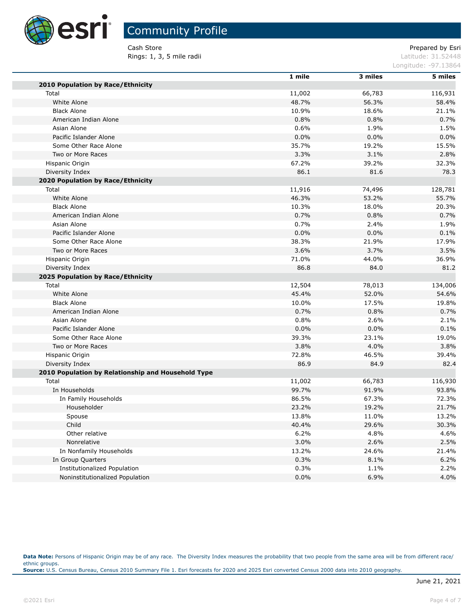

# Community Profile

**Rings: 1, 3, 5 mile radii** Latitude: 31.52448

Cash Store **Prepared by Esri** Prepared by Esri

Longitude: -97.13864

|                                                    | 1 mile | 3 miles | 5 miles |
|----------------------------------------------------|--------|---------|---------|
| 2010 Population by Race/Ethnicity                  |        |         |         |
| Total                                              | 11,002 | 66,783  | 116,931 |
| White Alone                                        | 48.7%  | 56.3%   | 58.4%   |
| <b>Black Alone</b>                                 | 10.9%  | 18.6%   | 21.1%   |
| American Indian Alone                              | 0.8%   | 0.8%    | 0.7%    |
| Asian Alone                                        | 0.6%   | 1.9%    | 1.5%    |
| Pacific Islander Alone                             | 0.0%   | 0.0%    | 0.0%    |
| Some Other Race Alone                              | 35.7%  | 19.2%   | 15.5%   |
| Two or More Races                                  | 3.3%   | 3.1%    | 2.8%    |
| Hispanic Origin                                    | 67.2%  | 39.2%   | 32.3%   |
| Diversity Index                                    | 86.1   | 81.6    | 78.3    |
| 2020 Population by Race/Ethnicity                  |        |         |         |
| Total                                              | 11,916 | 74,496  | 128,781 |
| White Alone                                        | 46.3%  | 53.2%   | 55.7%   |
| <b>Black Alone</b>                                 | 10.3%  | 18.0%   | 20.3%   |
| American Indian Alone                              | 0.7%   | 0.8%    | 0.7%    |
| Asian Alone                                        | 0.7%   | 2.4%    | 1.9%    |
| Pacific Islander Alone                             | 0.0%   | 0.0%    | 0.1%    |
| Some Other Race Alone                              | 38.3%  | 21.9%   | 17.9%   |
| Two or More Races                                  | 3.6%   | 3.7%    | 3.5%    |
| Hispanic Origin                                    | 71.0%  | 44.0%   | 36.9%   |
| Diversity Index                                    | 86.8   | 84.0    | 81.2    |
| 2025 Population by Race/Ethnicity                  |        |         |         |
| Total                                              | 12,504 | 78,013  | 134,006 |
| White Alone                                        | 45.4%  | 52.0%   | 54.6%   |
| <b>Black Alone</b>                                 | 10.0%  | 17.5%   | 19.8%   |
| American Indian Alone                              | 0.7%   | 0.8%    | 0.7%    |
| Asian Alone                                        | 0.8%   | 2.6%    | 2.1%    |
| Pacific Islander Alone                             | 0.0%   | 0.0%    | 0.1%    |
| Some Other Race Alone                              | 39.3%  | 23.1%   | 19.0%   |
| Two or More Races                                  | 3.8%   | 4.0%    | 3.8%    |
| Hispanic Origin                                    | 72.8%  | 46.5%   | 39.4%   |
| Diversity Index                                    | 86.9   | 84.9    | 82.4    |
| 2010 Population by Relationship and Household Type |        |         |         |
| Total                                              | 11,002 | 66,783  | 116,930 |
| In Households                                      | 99.7%  | 91.9%   | 93.8%   |
| In Family Households                               | 86.5%  | 67.3%   | 72.3%   |
| Householder                                        | 23.2%  | 19.2%   | 21.7%   |
| Spouse                                             | 13.8%  | 11.0%   | 13.2%   |
| Child                                              | 40.4%  | 29.6%   | 30.3%   |
| Other relative                                     | 6.2%   | 4.8%    | 4.6%    |
| Nonrelative                                        | 3.0%   | 2.6%    | 2.5%    |
| In Nonfamily Households                            | 13.2%  | 24.6%   | 21.4%   |
| In Group Quarters                                  | 0.3%   | 8.1%    | 6.2%    |
| Institutionalized Population                       | 0.3%   | 1.1%    | 2.2%    |
| Noninstitutionalized Population                    | 0.0%   | 6.9%    | 4.0%    |

Data Note: Persons of Hispanic Origin may be of any race. The Diversity Index measures the probability that two people from the same area will be from different race/ ethnic groups. **Source:** U.S. Census Bureau, Census 2010 Summary File 1. Esri forecasts for 2020 and 2025 Esri converted Census 2000 data into 2010 geography.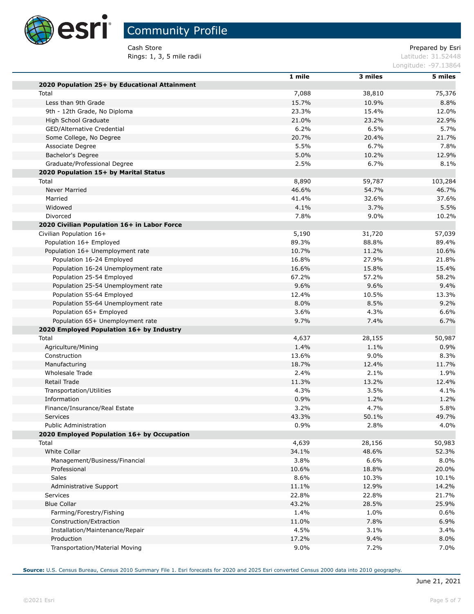

Cash Store **Prepared by Esri** Prepared by Esri **Rings: 1, 3, 5 mile radii** Latitude: 31.52448

Longitude: -97.13864

|                                               | 1 mile  | 3 miles | 5 miles |
|-----------------------------------------------|---------|---------|---------|
| 2020 Population 25+ by Educational Attainment |         |         |         |
| Total                                         | 7,088   | 38,810  | 75,376  |
| Less than 9th Grade                           | 15.7%   | 10.9%   | 8.8%    |
| 9th - 12th Grade, No Diploma                  | 23.3%   | 15.4%   | 12.0%   |
| High School Graduate                          | 21.0%   | 23.2%   | 22.9%   |
| GED/Alternative Credential                    | 6.2%    | 6.5%    | 5.7%    |
| Some College, No Degree                       | 20.7%   | 20.4%   | 21.7%   |
| Associate Degree                              | 5.5%    | 6.7%    | 7.8%    |
| Bachelor's Degree                             | 5.0%    | 10.2%   | 12.9%   |
| Graduate/Professional Degree                  | 2.5%    | 6.7%    | 8.1%    |
| 2020 Population 15+ by Marital Status         |         |         |         |
| Total                                         | 8,890   | 59,787  | 103,284 |
| Never Married                                 | 46.6%   | 54.7%   | 46.7%   |
| Married                                       | 41.4%   | 32.6%   | 37.6%   |
| Widowed                                       | 4.1%    | 3.7%    | 5.5%    |
| Divorced                                      | 7.8%    | $9.0\%$ | 10.2%   |
| 2020 Civilian Population 16+ in Labor Force   |         |         |         |
| Civilian Population 16+                       | 5,190   | 31,720  | 57,039  |
| Population 16+ Employed                       | 89.3%   | 88.8%   | 89.4%   |
| Population 16+ Unemployment rate              | 10.7%   | 11.2%   | 10.6%   |
| Population 16-24 Employed                     | 16.8%   | 27.9%   | 21.8%   |
| Population 16-24 Unemployment rate            | 16.6%   | 15.8%   | 15.4%   |
| Population 25-54 Employed                     | 67.2%   | 57.2%   | 58.2%   |
| Population 25-54 Unemployment rate            | 9.6%    | 9.6%    | 9.4%    |
| Population 55-64 Employed                     | 12.4%   | 10.5%   | 13.3%   |
| Population 55-64 Unemployment rate            | 8.0%    | 8.5%    | 9.2%    |
| Population 65+ Employed                       | 3.6%    | 4.3%    | 6.6%    |
| Population 65+ Unemployment rate              | 9.7%    | 7.4%    | 6.7%    |
| 2020 Employed Population 16+ by Industry      |         |         |         |
| Total                                         | 4,637   | 28,155  | 50,987  |
| Agriculture/Mining                            | 1.4%    | 1.1%    | 0.9%    |
| Construction                                  | 13.6%   | 9.0%    | 8.3%    |
| Manufacturing                                 | 18.7%   | 12.4%   | 11.7%   |
| Wholesale Trade                               | 2.4%    | 2.1%    | 1.9%    |
| Retail Trade                                  | 11.3%   | 13.2%   | 12.4%   |
| Transportation/Utilities                      | 4.3%    | 3.5%    | 4.1%    |
| Information                                   | 0.9%    | 1.2%    | 1.2%    |
| Finance/Insurance/Real Estate                 | 3.2%    | 4.7%    | 5.8%    |
| Services                                      | 43.3%   | 50.1%   | 49.7%   |
| Public Administration                         | 0.9%    | 2.8%    | 4.0%    |
| 2020 Employed Population 16+ by Occupation    |         |         |         |
| Total                                         | 4,639   | 28,156  | 50,983  |
| White Collar                                  | 34.1%   | 48.6%   | 52.3%   |
| Management/Business/Financial                 | 3.8%    | 6.6%    | 8.0%    |
| Professional                                  | 10.6%   | 18.8%   | 20.0%   |
| <b>Sales</b>                                  | 8.6%    | 10.3%   | 10.1%   |
| Administrative Support                        | 11.1%   | 12.9%   | 14.2%   |
| Services                                      | 22.8%   | 22.8%   | 21.7%   |
| <b>Blue Collar</b>                            | 43.2%   | 28.5%   | 25.9%   |
| Farming/Forestry/Fishing                      | 1.4%    | 1.0%    | 0.6%    |
| Construction/Extraction                       | 11.0%   | 7.8%    | 6.9%    |
| Installation/Maintenance/Repair               | 4.5%    | 3.1%    | 3.4%    |
| Production                                    | 17.2%   | 9.4%    | 8.0%    |
| Transportation/Material Moving                | $9.0\%$ | 7.2%    | 7.0%    |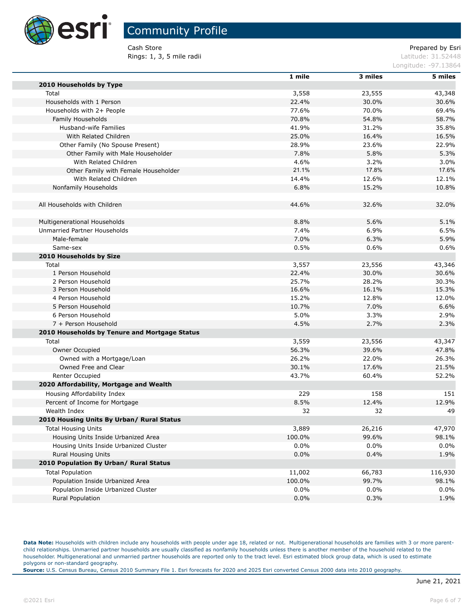

Cash Store **Prepared by Esri** Prepared by Esri **Rings: 1, 3, 5 mile radii** Latitude: 31.52448

Longitude: -97.13864

|                                               | 1 mile         | 3 miles        | 5 miles        |
|-----------------------------------------------|----------------|----------------|----------------|
| 2010 Households by Type                       |                |                |                |
| Total                                         | 3,558          | 23,555         | 43,348         |
| Households with 1 Person                      | 22.4%          | 30.0%          | 30.6%          |
| Households with 2+ People                     | 77.6%          | 70.0%          | 69.4%          |
| Family Households                             | 70.8%          | 54.8%          | 58.7%          |
| Husband-wife Families                         | 41.9%          | 31.2%          | 35.8%          |
| With Related Children                         | 25.0%          | 16.4%          | 16.5%          |
| Other Family (No Spouse Present)              | 28.9%          | 23.6%          | 22.9%          |
| Other Family with Male Householder            | 7.8%           | 5.8%           | 5.3%           |
| With Related Children                         | 4.6%           | 3.2%           | 3.0%           |
| Other Family with Female Householder          | 21.1%          | 17.8%          | 17.6%          |
| With Related Children                         | 14.4%          | 12.6%          | 12.1%          |
| Nonfamily Households                          | 6.8%           | 15.2%          | 10.8%          |
| All Households with Children                  | 44.6%          | 32.6%          | 32.0%          |
|                                               |                |                |                |
| Multigenerational Households                  | 8.8%           | 5.6%           | 5.1%           |
| Unmarried Partner Households                  | 7.4%           | 6.9%           | 6.5%           |
| Male-female                                   | 7.0%           | 6.3%           | 5.9%           |
| Same-sex                                      | 0.5%           | 0.6%           | 0.6%           |
| 2010 Households by Size                       |                |                |                |
| Total<br>1 Person Household                   | 3,557          | 23,556         | 43,346         |
|                                               | 22.4%          | 30.0%          | 30.6%          |
| 2 Person Household<br>3 Person Household      | 25.7%<br>16.6% | 28.2%<br>16.1% | 30.3%<br>15.3% |
| 4 Person Household                            | 15.2%          | 12.8%          | 12.0%          |
| 5 Person Household                            | 10.7%          | 7.0%           | 6.6%           |
| 6 Person Household                            | 5.0%           | 3.3%           | 2.9%           |
| 7 + Person Household                          | 4.5%           | 2.7%           | 2.3%           |
|                                               |                |                |                |
| 2010 Households by Tenure and Mortgage Status |                |                |                |
| Total                                         | 3,559          | 23,556         | 43,347         |
| Owner Occupied                                | 56.3%          | 39.6%          | 47.8%          |
| Owned with a Mortgage/Loan                    | 26.2%          | 22.0%          | 26.3%          |
| Owned Free and Clear                          | 30.1%          | 17.6%          | 21.5%          |
| Renter Occupied                               | 43.7%          | 60.4%          | 52.2%          |
| 2020 Affordability, Mortgage and Wealth       |                |                |                |
| Housing Affordability Index                   | 229            | 158            | 151            |
| Percent of Income for Mortgage                | 8.5%           | 12.4%          | 12.9%          |
| Wealth Index                                  | 32             | 32             | 49             |
| 2010 Housing Units By Urban/ Rural Status     |                |                |                |
| <b>Total Housing Units</b>                    | 3,889          | 26,216         | 47,970         |
| Housing Units Inside Urbanized Area           | 100.0%         | 99.6%          | 98.1%          |
| Housing Units Inside Urbanized Cluster        | 0.0%           | $0.0\%$        | 0.0%           |
| <b>Rural Housing Units</b>                    | 0.0%           | 0.4%           | 1.9%           |
| 2010 Population By Urban/ Rural Status        |                |                |                |
| <b>Total Population</b>                       | 11,002         | 66,783         | 116,930        |
| Population Inside Urbanized Area              | 100.0%         | 99.7%          | 98.1%          |
| Population Inside Urbanized Cluster           | 0.0%           | $0.0\%$        | 0.0%           |
| <b>Rural Population</b>                       | 0.0%           | 0.3%           | 1.9%           |

Data Note: Households with children include any households with people under age 18, related or not. Multigenerational households are families with 3 or more parentchild relationships. Unmarried partner households are usually classified as nonfamily households unless there is another member of the household related to the householder. Multigenerational and unmarried partner households are reported only to the tract level. Esri estimated block group data, which is used to estimate polygons or non-standard geography.